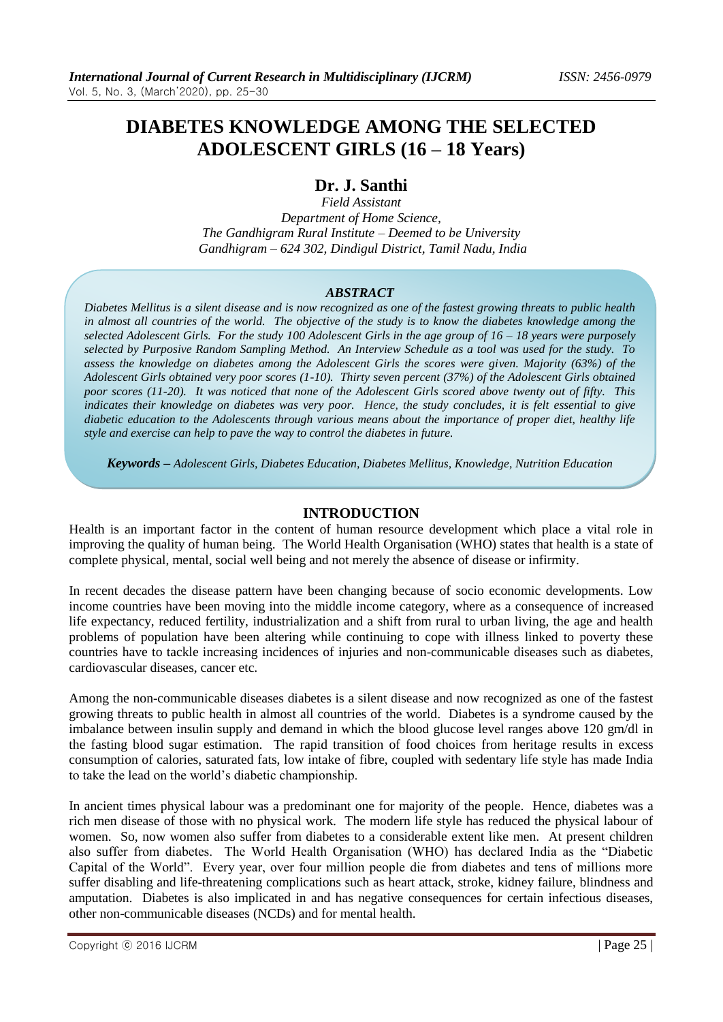# **DIABETES KNOWLEDGE AMONG THE SELECTED ADOLESCENT GIRLS (16 – 18 Years)**

# **Dr. J. Santhi**

*Field Assistant Department of Home Science, The Gandhigram Rural Institute – Deemed to be University Gandhigram – 624 302, Dindigul District, Tamil Nadu, India*

## *ABSTRACT*

*Diabetes Mellitus is a silent disease and is now recognized as one of the fastest growing threats to public health in almost all countries of the world. The objective of the study is to know the diabetes knowledge among the selected Adolescent Girls. For the study 100 Adolescent Girls in the age group of 16 – 18 years were purposely selected by Purposive Random Sampling Method. An Interview Schedule as a tool was used for the study. To assess the knowledge on diabetes among the Adolescent Girls the scores were given. Majority (63%) of the Adolescent Girls obtained very poor scores (1-10). Thirty seven percent (37%) of the Adolescent Girls obtained poor scores (11-20). It was noticed that none of the Adolescent Girls scored above twenty out of fifty. This indicates their knowledge on diabetes was very poor. Hence, the study concludes, it is felt essential to give diabetic education to the Adolescents through various means about the importance of proper diet, healthy life style and exercise can help to pave the way to control the diabetes in future.*

*Keywords – Adolescent Girls, Diabetes Education, Diabetes Mellitus, Knowledge, Nutrition Education*

## **INTRODUCTION**

Health is an important factor in the content of human resource development which place a vital role in improving the quality of human being. The World Health Organisation (WHO) states that health is a state of complete physical, mental, social well being and not merely the absence of disease or infirmity.

In recent decades the disease pattern have been changing because of socio economic developments. Low income countries have been moving into the middle income category, where as a consequence of increased life expectancy, reduced fertility, industrialization and a shift from rural to urban living, the age and health problems of population have been altering while continuing to cope with illness linked to poverty these countries have to tackle increasing incidences of injuries and non-communicable diseases such as diabetes, cardiovascular diseases, cancer etc.

Among the non-communicable diseases diabetes is a silent disease and now recognized as one of the fastest growing threats to public health in almost all countries of the world. Diabetes is a syndrome caused by the imbalance between insulin supply and demand in which the blood glucose level ranges above 120 gm/dl in the fasting blood sugar estimation. The rapid transition of food choices from heritage results in excess consumption of calories, saturated fats, low intake of fibre, coupled with sedentary life style has made India to take the lead on the world's diabetic championship.

In ancient times physical labour was a predominant one for majority of the people. Hence, diabetes was a rich men disease of those with no physical work. The modern life style has reduced the physical labour of women. So, now women also suffer from diabetes to a considerable extent like men. At present children also suffer from diabetes. The World Health Organisation (WHO) has declared India as the "Diabetic Capital of the World". Every year, over four million people die from diabetes and tens of millions more suffer disabling and life-threatening complications such as heart attack, stroke, kidney failure, blindness and amputation. Diabetes is also implicated in and has negative consequences for certain infectious diseases, other non-communicable diseases (NCDs) and for mental health.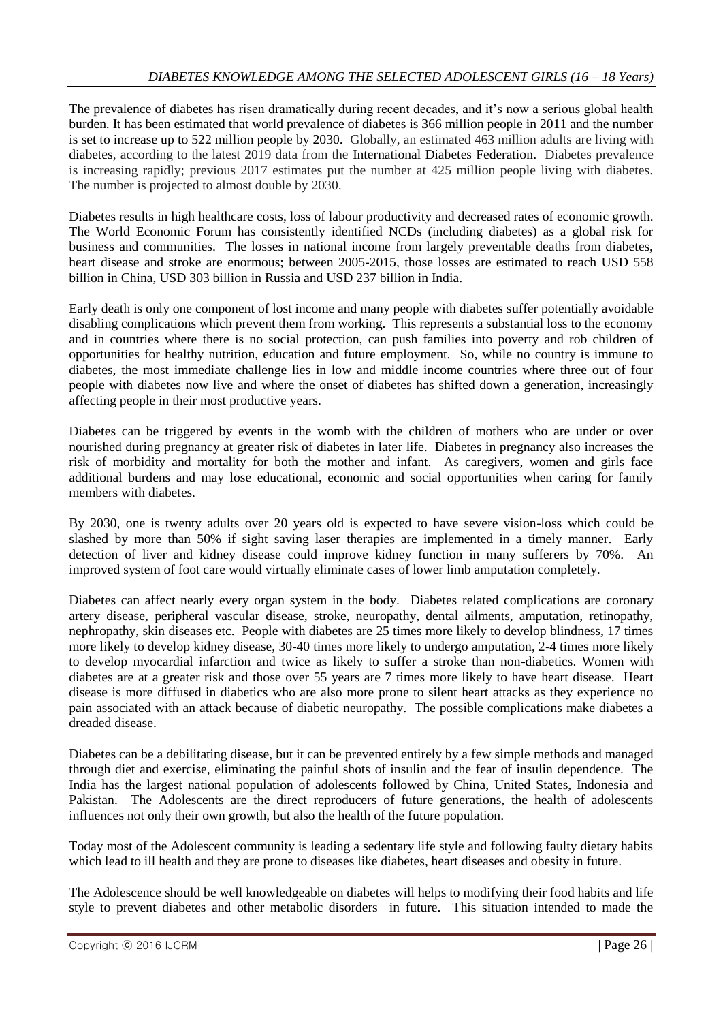The prevalence of diabetes has risen dramatically during recent decades, and it's now a serious global health burden. It has been estimated that world prevalence of diabetes is 366 million people in 2011 and the number is set to increase up to 522 million people by 2030. Globally, an estimated 463 million adults are living with [diabetes,](https://en.wikipedia.org/wiki/Diabetes) according to the latest 2019 data from the [International Diabetes Federation.](https://en.wikipedia.org/wiki/International_Diabetes_Federation) Diabetes prevalence is increasing rapidly; previous 2017 estimates put the number at 425 million people living with diabetes. The number is projected to almost double by 2030.

Diabetes results in high healthcare costs, loss of labour productivity and decreased rates of economic growth. The World Economic Forum has consistently identified NCDs (including diabetes) as a global risk for business and communities. The losses in national income from largely preventable deaths from diabetes, heart disease and stroke are enormous; between 2005-2015, those losses are estimated to reach USD 558 billion in China, USD 303 billion in Russia and USD 237 billion in India.

Early death is only one component of lost income and many people with diabetes suffer potentially avoidable disabling complications which prevent them from working. This represents a substantial loss to the economy and in countries where there is no social protection, can push families into poverty and rob children of opportunities for healthy nutrition, education and future employment. So, while no country is immune to diabetes, the most immediate challenge lies in low and middle income countries where three out of four people with diabetes now live and where the onset of diabetes has shifted down a generation, increasingly affecting people in their most productive years.

Diabetes can be triggered by events in the womb with the children of mothers who are under or over nourished during pregnancy at greater risk of diabetes in later life. Diabetes in pregnancy also increases the risk of morbidity and mortality for both the mother and infant. As caregivers, women and girls face additional burdens and may lose educational, economic and social opportunities when caring for family members with diabetes.

By 2030, one is twenty adults over 20 years old is expected to have severe vision-loss which could be slashed by more than 50% if sight saving laser therapies are implemented in a timely manner. Early detection of liver and kidney disease could improve kidney function in many sufferers by 70%. An improved system of foot care would virtually eliminate cases of lower limb amputation completely.

Diabetes can affect nearly every organ system in the body. Diabetes related complications are coronary artery disease, peripheral vascular disease, stroke, neuropathy, dental ailments, amputation, retinopathy, nephropathy, skin diseases etc. People with diabetes are 25 times more likely to develop blindness, 17 times more likely to develop kidney disease, 30-40 times more likely to undergo amputation, 2-4 times more likely to develop myocardial infarction and twice as likely to suffer a stroke than non-diabetics. Women with diabetes are at a greater risk and those over 55 years are 7 times more likely to have heart disease. Heart disease is more diffused in diabetics who are also more prone to silent heart attacks as they experience no pain associated with an attack because of diabetic neuropathy. The possible complications make diabetes a dreaded disease.

Diabetes can be a debilitating disease, but it can be prevented entirely by a few simple methods and managed through diet and exercise, eliminating the painful shots of insulin and the fear of insulin dependence. The India has the largest national population of adolescents followed by China, United States, Indonesia and Pakistan. The Adolescents are the direct reproducers of future generations, the health of adolescents influences not only their own growth, but also the health of the future population.

Today most of the Adolescent community is leading a sedentary life style and following faulty dietary habits which lead to ill health and they are prone to diseases like diabetes, heart diseases and obesity in future.

The Adolescence should be well knowledgeable on diabetes will helps to modifying their food habits and life style to prevent diabetes and other metabolic disorders in future. This situation intended to made the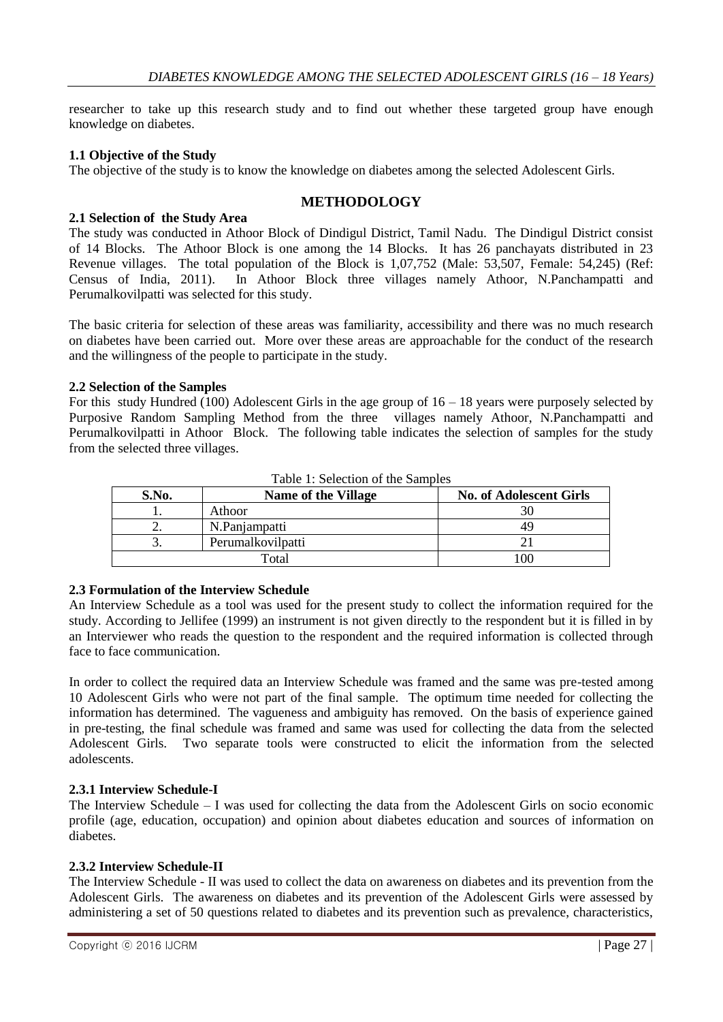researcher to take up this research study and to find out whether these targeted group have enough knowledge on diabetes.

#### **1.1 Objective of the Study**

The objective of the study is to know the knowledge on diabetes among the selected Adolescent Girls.

## **METHODOLOGY**

#### **2.1 Selection of the Study Area**

The study was conducted in Athoor Block of Dindigul District, Tamil Nadu. The Dindigul District consist of 14 Blocks. The Athoor Block is one among the 14 Blocks. It has 26 panchayats distributed in 23 Revenue villages. The total population of the Block is 1,07,752 (Male: 53,507, Female: 54,245) (Ref: Census of India, 2011). In Athoor Block three villages namely Athoor, N.Panchampatti and In Athoor Block three villages namely Athoor, N.Panchampatti and Perumalkovilpatti was selected for this study.

The basic criteria for selection of these areas was familiarity, accessibility and there was no much research on diabetes have been carried out. More over these areas are approachable for the conduct of the research and the willingness of the people to participate in the study.

#### **2.2 Selection of the Samples**

For this study Hundred (100) Adolescent Girls in the age group of 16 – 18 years were purposely selected by Purposive Random Sampling Method from the three villages namely Athoor, N.Panchampatti and Perumalkovilpatti in Athoor Block. The following table indicates the selection of samples for the study from the selected three villages.

| S.No. | Name of the Village | <b>No. of Adolescent Girls</b> |
|-------|---------------------|--------------------------------|
|       | Athoor              |                                |
| ∼.    | N.Panjampatti       | 49                             |
|       | Perumalkovilpatti   |                                |
|       | Гоtal               | 00                             |

Table 1: Selection of the Samples

#### **2.3 Formulation of the Interview Schedule**

An Interview Schedule as a tool was used for the present study to collect the information required for the study. According to Jellifee (1999) an instrument is not given directly to the respondent but it is filled in by an Interviewer who reads the question to the respondent and the required information is collected through face to face communication.

In order to collect the required data an Interview Schedule was framed and the same was pre-tested among 10 Adolescent Girls who were not part of the final sample. The optimum time needed for collecting the information has determined. The vagueness and ambiguity has removed. On the basis of experience gained in pre-testing, the final schedule was framed and same was used for collecting the data from the selected Adolescent Girls. Two separate tools were constructed to elicit the information from the selected adolescents.

#### **2.3.1 Interview Schedule-I**

The Interview Schedule – I was used for collecting the data from the Adolescent Girls on socio economic profile (age, education, occupation) and opinion about diabetes education and sources of information on diabetes.

#### **2.3.2 Interview Schedule-II**

The Interview Schedule - II was used to collect the data on awareness on diabetes and its prevention from the Adolescent Girls. The awareness on diabetes and its prevention of the Adolescent Girls were assessed by administering a set of 50 questions related to diabetes and its prevention such as prevalence, characteristics,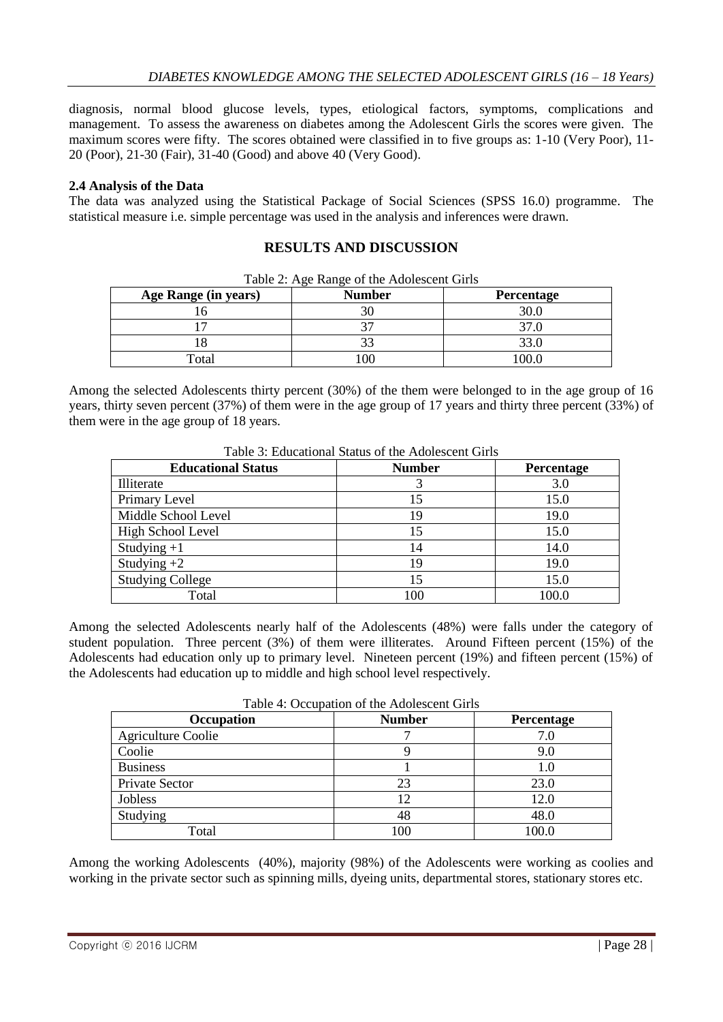diagnosis, normal blood glucose levels, types, etiological factors, symptoms, complications and management. To assess the awareness on diabetes among the Adolescent Girls the scores were given. The maximum scores were fifty. The scores obtained were classified in to five groups as: 1-10 (Very Poor), 11- 20 (Poor), 21-30 (Fair), 31-40 (Good) and above 40 (Very Good).

# **2.4 Analysis of the Data**

The data was analyzed using the Statistical Package of Social Sciences (SPSS 16.0) programme. The statistical measure i.e. simple percentage was used in the analysis and inferences were drawn.

# **RESULTS AND DISCUSSION**

| Age Range (in years) | <b>Number</b> | Percentage |
|----------------------|---------------|------------|
|                      |               | 30.C       |
|                      |               |            |
|                      |               |            |
| $\tau_{\text{otal}}$ |               |            |

Table 2: Age Range of the Adolescent Girls

Among the selected Adolescents thirty percent (30%) of the them were belonged to in the age group of 16 years, thirty seven percent (37%) of them were in the age group of 17 years and thirty three percent (33%) of them were in the age group of 18 years.

| <b>Educational Status</b> | <b>Number</b> | Percentage |  |
|---------------------------|---------------|------------|--|
| Illiterate                |               | 3.0        |  |
| Primary Level             | 15            | 15.0       |  |
| Middle School Level       | 19            | 19.0       |  |
| High School Level         | 15            | 15.0       |  |
| Studying $+1$             | 14            | 14.0       |  |
| Studying $+2$             | 19            | 19.0       |  |
| <b>Studying College</b>   | 15            | 15.0       |  |
| Total                     | 100           | 100.0      |  |

Table 3: Educational Status of the Adolescent Girls

Among the selected Adolescents nearly half of the Adolescents (48%) were falls under the category of student population. Three percent (3%) of them were illiterates. Around Fifteen percent (15%) of the Adolescents had education only up to primary level. Nineteen percent (19%) and fifteen percent (15%) of the Adolescents had education up to middle and high school level respectively.

| Twore +: Occupation of the <i>Fra</i> ofescent Offis |               |            |  |  |
|------------------------------------------------------|---------------|------------|--|--|
| Occupation                                           | <b>Number</b> | Percentage |  |  |
| <b>Agriculture Coolie</b>                            |               | 7.0        |  |  |
| Coolie                                               |               | 9.0        |  |  |
| <b>Business</b>                                      |               | 1.0        |  |  |
| Private Sector                                       | 23            | 23.0       |  |  |
| Jobless                                              |               | 12.0       |  |  |
| Studying                                             | 48            | 48.0       |  |  |
| Total                                                | 100           | 100.0      |  |  |

Table 4: Occupation of the Adolescent Girls

Among the working Adolescents (40%), majority (98%) of the Adolescents were working as coolies and working in the private sector such as spinning mills, dyeing units, departmental stores, stationary stores etc.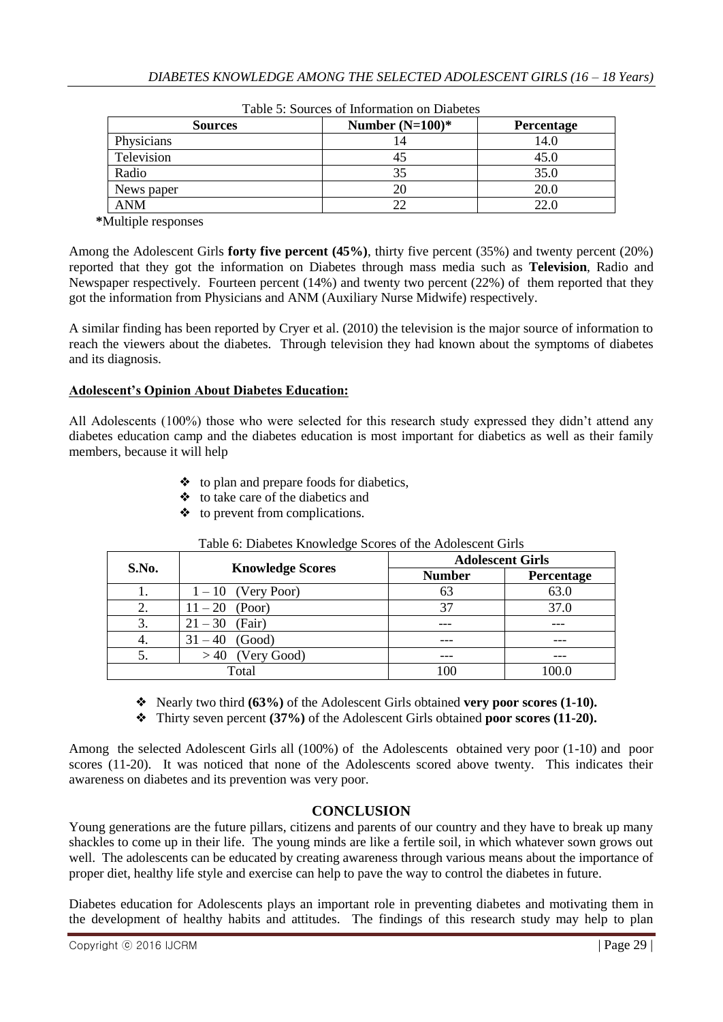| 1 WUIV UI NJUWIVUU UI IIIIUIIIIWWIJII UII IPIWUVVUU |            |  |  |
|-----------------------------------------------------|------------|--|--|
| Number $(N=100)*$                                   | Percentage |  |  |
| 4ء                                                  | 14.0       |  |  |
|                                                     | 45.0       |  |  |
| 35                                                  | 35.0       |  |  |
|                                                     | 20.0       |  |  |
|                                                     | 22.0       |  |  |
|                                                     |            |  |  |

 **\***Multiple responses

Among the Adolescent Girls **forty five percent (45%)**, thirty five percent (35%) and twenty percent (20%) reported that they got the information on Diabetes through mass media such as **Television**, Radio and Newspaper respectively. Fourteen percent (14%) and twenty two percent (22%) of them reported that they got the information from Physicians and ANM (Auxiliary Nurse Midwife) respectively.

A similar finding has been reported by Cryer et al. (2010) the television is the major source of information to reach the viewers about the diabetes. Through television they had known about the symptoms of diabetes and its diagnosis.

# **Adolescent's Opinion About Diabetes Education:**

All Adolescents (100%) those who were selected for this research study expressed they didn't attend any diabetes education camp and the diabetes education is most important for diabetics as well as their family members, because it will help

- ❖ to plan and prepare foods for diabetics,
- ❖ to take care of the diabetics and
- ❖ to prevent from complications.

| S.No. | <b>Knowledge Scores</b> | <b>Adolescent Girls</b> |            |
|-------|-------------------------|-------------------------|------------|
|       |                         | <b>Number</b>           | Percentage |
|       | $1-10$ (Very Poor)      | 63                      | 63.0       |
| 2.    | $11 - 20$ (Poor)        | 37                      | 37.0       |
| 3.    | $21 - 30$ (Fair)        |                         | ---        |
| 4.    | (Good)<br>$31 - 40$     | ---                     | ---        |
| 5.    | $> 40$ (Very Good)      |                         |            |
|       | Total                   | 100                     |            |

#### Table 6: Diabetes Knowledge Scores of the Adolescent Girls

- ❖ Nearly two third **(63%)** of the Adolescent Girls obtained **very poor scores (1-10).**
- ❖ Thirty seven percent **(37%)** of the Adolescent Girls obtained **poor scores (11-20).**

Among the selected Adolescent Girls all (100%) of the Adolescents obtained very poor (1-10) and poor scores (11-20). It was noticed that none of the Adolescents scored above twenty. This indicates their awareness on diabetes and its prevention was very poor.

# **CONCLUSION**

Young generations are the future pillars, citizens and parents of our country and they have to break up many shackles to come up in their life. The young minds are like a fertile soil, in which whatever sown grows out well. The adolescents can be educated by creating awareness through various means about the importance of proper diet, healthy life style and exercise can help to pave the way to control the diabetes in future.

Diabetes education for Adolescents plays an important role in preventing diabetes and motivating them in the development of healthy habits and attitudes. The findings of this research study may help to plan